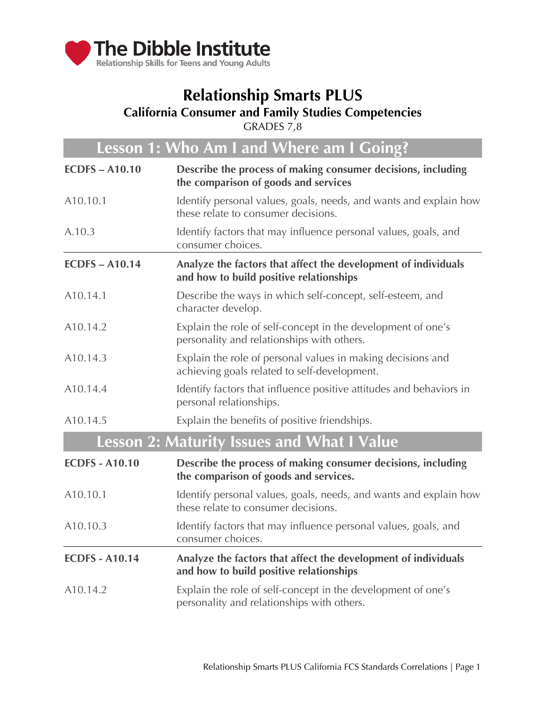

# **Relationship Smarts PLUS**

### **California Consumer and Family Studies Competencies**

GRADES 7,8

| Lesson 1: Who Am I and Where am I Going? |                                                                                                             |
|------------------------------------------|-------------------------------------------------------------------------------------------------------------|
| <b>ECDFS-A10.10</b>                      | Describe the process of making consumer decisions, including<br>the comparison of goods and services        |
| A <sub>10.10.1</sub>                     | Identify personal values, goals, needs, and wants and explain how<br>these relate to consumer decisions.    |
| A.10.3                                   | Identify factors that may influence personal values, goals, and<br>consumer choices.                        |
| <b>ECDFS-A10.14</b>                      | Analyze the factors that affect the development of individuals<br>and how to build positive relationships   |
| A <sub>10.14.1</sub>                     | Describe the ways in which self-concept, self-esteem, and<br>character develop.                             |
| A10.14.2                                 | Explain the role of self-concept in the development of one's<br>personality and relationships with others.  |
| A10.14.3                                 | Explain the role of personal values in making decisions and<br>achieving goals related to self-development. |
| A10.14.4                                 | Identify factors that influence positive attitudes and behaviors in<br>personal relationships.              |
| A10.14.5                                 | Explain the benefits of positive friendships.                                                               |
|                                          | <b>Lesson 2: Maturity Issues and What I Value</b>                                                           |
| <b>ECDFS - A10.10</b>                    | Describe the process of making consumer decisions, including<br>the comparison of goods and services.       |
| A10.10.1                                 | Identify personal values, goals, needs, and wants and explain how<br>these relate to consumer decisions.    |
| A10.10.3                                 | Identify factors that may influence personal values, goals, and<br>consumer choices.                        |
| <b>ECDFS - A10.14</b>                    | Analyze the factors that affect the development of individuals<br>and how to build positive relationships   |
| A <sub>10.14.2</sub>                     | Explain the role of self-concept in the development of one's<br>personality and relationships with others.  |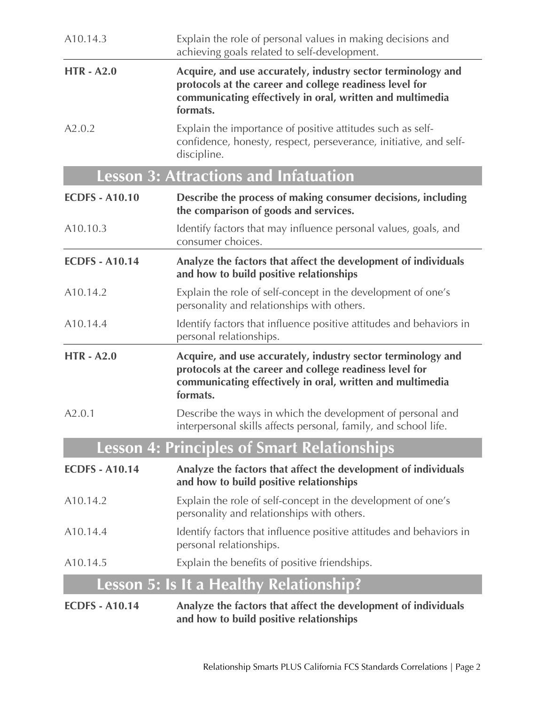| A10.14.3              | Explain the role of personal values in making decisions and<br>achieving goals related to self-development.                                                                                      |
|-----------------------|--------------------------------------------------------------------------------------------------------------------------------------------------------------------------------------------------|
| <b>HTR-A2.0</b>       | Acquire, and use accurately, industry sector terminology and<br>protocols at the career and college readiness level for<br>communicating effectively in oral, written and multimedia<br>formats. |
| A2.0.2                | Explain the importance of positive attitudes such as self-<br>confidence, honesty, respect, perseverance, initiative, and self-<br>discipline.                                                   |
|                       | <b>Lesson 3: Attractions and Infatuation</b>                                                                                                                                                     |
| <b>ECDFS - A10.10</b> | Describe the process of making consumer decisions, including<br>the comparison of goods and services.                                                                                            |
| A10.10.3              | Identify factors that may influence personal values, goals, and<br>consumer choices.                                                                                                             |
| <b>ECDFS - A10.14</b> | Analyze the factors that affect the development of individuals<br>and how to build positive relationships                                                                                        |
| A10.14.2              | Explain the role of self-concept in the development of one's<br>personality and relationships with others.                                                                                       |
| A10.14.4              | Identify factors that influence positive attitudes and behaviors in<br>personal relationships.                                                                                                   |
| <b>HTR - A2.0</b>     | Acquire, and use accurately, industry sector terminology and<br>protocols at the career and college readiness level for<br>communicating effectively in oral, written and multimedia<br>formats. |
| A2.0.1                | Describe the ways in which the development of personal and<br>interpersonal skills affects personal, family, and school life                                                                     |
|                       | <b>Lesson 4: Principles of Smart Relationships</b>                                                                                                                                               |
| <b>ECDFS - A10.14</b> | Analyze the factors that affect the development of individuals<br>and how to build positive relationships                                                                                        |
| A10.14.2              | Explain the role of self-concept in the development of one's<br>personality and relationships with others.                                                                                       |
| A <sub>10.14.4</sub>  | Identify factors that influence positive attitudes and behaviors in<br>personal relationships.                                                                                                   |
| A10.14.5              | Explain the benefits of positive friendships.                                                                                                                                                    |
|                       | Lesson 5: Is It a Healthy Relationship?                                                                                                                                                          |
| <b>ECDFS - A10.14</b> | Analyze the factors that affect the development of individuals<br>and how to build positive relationships                                                                                        |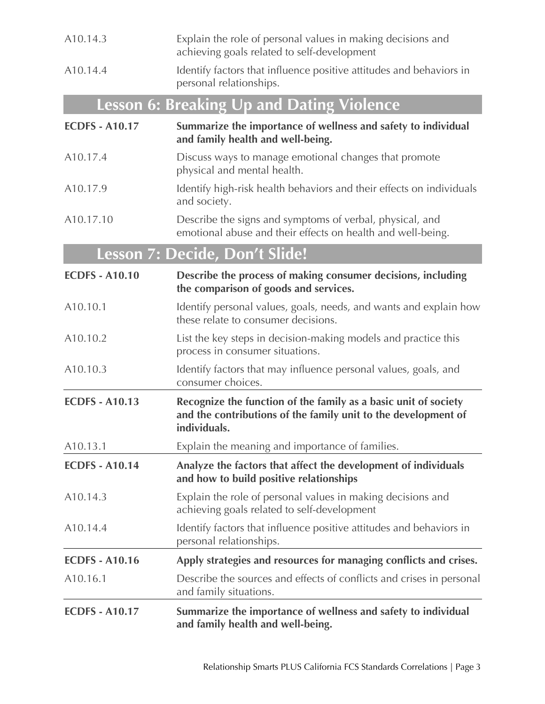| A10.14.3              | Explain the role of personal values in making decisions and<br>achieving goals related to self-development                                        |
|-----------------------|---------------------------------------------------------------------------------------------------------------------------------------------------|
| A10.14.4              | Identify factors that influence positive attitudes and behaviors in<br>personal relationships.                                                    |
|                       | <b>Lesson 6: Breaking Up and Dating Violence</b>                                                                                                  |
| <b>ECDFS - A10.17</b> | Summarize the importance of wellness and safety to individual<br>and family health and well-being.                                                |
| A10.17.4              | Discuss ways to manage emotional changes that promote<br>physical and mental health.                                                              |
| A10.17.9              | Identify high-risk health behaviors and their effects on individuals<br>and society.                                                              |
| A10.17.10             | Describe the signs and symptoms of verbal, physical, and<br>emotional abuse and their effects on health and well-being.                           |
|                       | Lesson 7: Decide, Don't Slide!                                                                                                                    |
| <b>ECDFS - A10.10</b> | Describe the process of making consumer decisions, including<br>the comparison of goods and services.                                             |
| A10.10.1              | Identify personal values, goals, needs, and wants and explain how<br>these relate to consumer decisions.                                          |
| A10.10.2              | List the key steps in decision-making models and practice this<br>process in consumer situations.                                                 |
| A10.10.3              | Identify factors that may influence personal values, goals, and<br>consumer choices.                                                              |
| <b>ECDFS - A10.13</b> | Recognize the function of the family as a basic unit of society<br>and the contributions of the family unit to the development of<br>individuals. |
| A <sub>10.13.1</sub>  | Explain the meaning and importance of families.                                                                                                   |
| <b>ECDFS - A10.14</b> | Analyze the factors that affect the development of individuals<br>and how to build positive relationships                                         |
| A <sub>10.14.3</sub>  | Explain the role of personal values in making decisions and<br>achieving goals related to self-development                                        |
| A <sub>10.14.4</sub>  | Identify factors that influence positive attitudes and behaviors in<br>personal relationships.                                                    |
| <b>ECDFS - A10.16</b> | Apply strategies and resources for managing conflicts and crises.                                                                                 |
| A10.16.1              | Describe the sources and effects of conflicts and crises in personal<br>and family situations.                                                    |
| <b>ECDFS - A10.17</b> | Summarize the importance of wellness and safety to individual<br>and family health and well-being.                                                |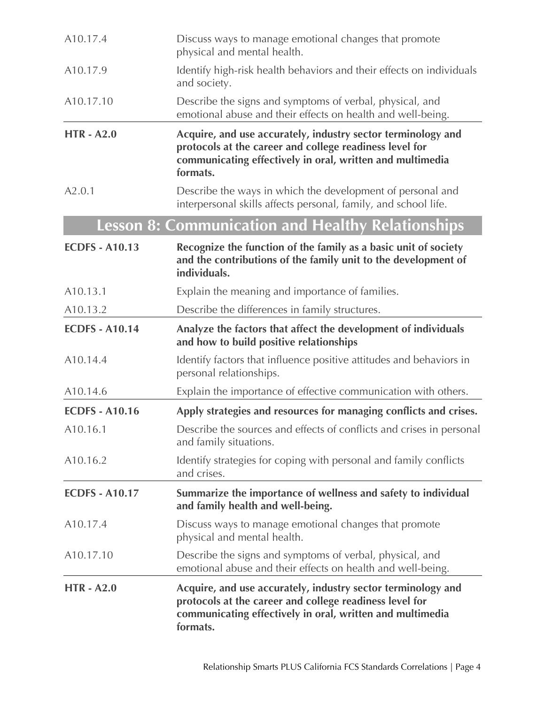| A10.17.4              | Discuss ways to manage emotional changes that promote<br>physical and mental health.                                                                                                             |
|-----------------------|--------------------------------------------------------------------------------------------------------------------------------------------------------------------------------------------------|
| A10.17.9              | Identify high-risk health behaviors and their effects on individuals<br>and society.                                                                                                             |
| A10.17.10             | Describe the signs and symptoms of verbal, physical, and<br>emotional abuse and their effects on health and well-being.                                                                          |
| <b>HTR - A2.0</b>     | Acquire, and use accurately, industry sector terminology and<br>protocols at the career and college readiness level for<br>communicating effectively in oral, written and multimedia<br>formats. |
| A2.0.1                | Describe the ways in which the development of personal and<br>interpersonal skills affects personal, family, and school life.                                                                    |
|                       | <b>Lesson 8: Communication and Healthy Relationships</b>                                                                                                                                         |
| <b>ECDFS - A10.13</b> | Recognize the function of the family as a basic unit of society<br>and the contributions of the family unit to the development of<br>individuals.                                                |
| A10.13.1              | Explain the meaning and importance of families.                                                                                                                                                  |
| A10.13.2              | Describe the differences in family structures.                                                                                                                                                   |
| <b>ECDFS - A10.14</b> | Analyze the factors that affect the development of individuals<br>and how to build positive relationships                                                                                        |
| A <sub>10.14.4</sub>  | Identify factors that influence positive attitudes and behaviors in<br>personal relationships.                                                                                                   |
| A <sub>10.14.6</sub>  | Explain the importance of effective communication with others.                                                                                                                                   |
| <b>ECDFS - A10.16</b> | Apply strategies and resources for managing conflicts and crises.                                                                                                                                |
| A10.16.1              | Describe the sources and effects of conflicts and crises in personal<br>and family situations.                                                                                                   |
| A <sub>10.16.2</sub>  | Identify strategies for coping with personal and family conflicts<br>and crises.                                                                                                                 |
| <b>ECDFS - A10.17</b> | Summarize the importance of wellness and safety to individual<br>and family health and well-being.                                                                                               |
| A10.17.4              | Discuss ways to manage emotional changes that promote<br>physical and mental health.                                                                                                             |
| A <sub>10.17.10</sub> | Describe the signs and symptoms of verbal, physical, and<br>emotional abuse and their effects on health and well-being.                                                                          |
| <b>HTR - A2.0</b>     | Acquire, and use accurately, industry sector terminology and<br>protocols at the career and college readiness level for<br>communicating effectively in oral, written and multimedia<br>formats. |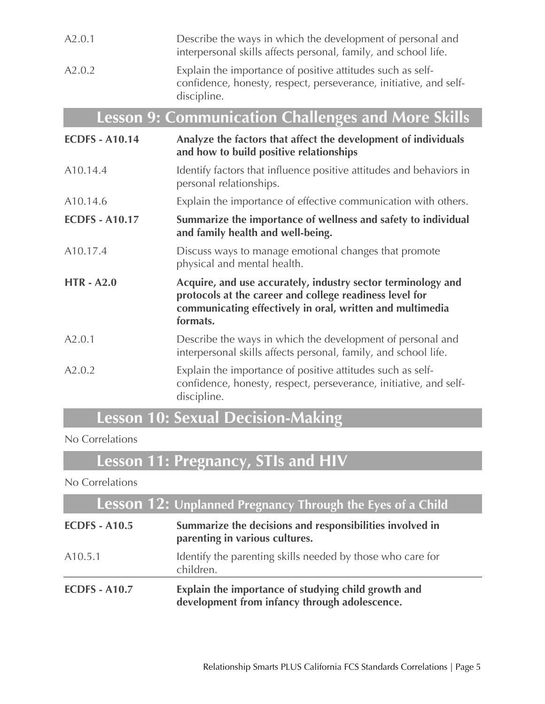| A2.0.1                | Describe the ways in which the development of personal and<br>interpersonal skills affects personal, family, and school life.                                                                    |
|-----------------------|--------------------------------------------------------------------------------------------------------------------------------------------------------------------------------------------------|
| A2.0.2                | Explain the importance of positive attitudes such as self-<br>confidence, honesty, respect, perseverance, initiative, and self-<br>discipline.                                                   |
|                       | <b>Lesson 9: Communication Challenges and More Skills</b>                                                                                                                                        |
| <b>ECDFS - A10.14</b> | Analyze the factors that affect the development of individuals<br>and how to build positive relationships                                                                                        |
| A10.14.4              | Identify factors that influence positive attitudes and behaviors in<br>personal relationships.                                                                                                   |
| A10.14.6              | Explain the importance of effective communication with others.                                                                                                                                   |
| <b>ECDFS - A10.17</b> | Summarize the importance of wellness and safety to individual<br>and family health and well-being.                                                                                               |
| A10.17.4              | Discuss ways to manage emotional changes that promote<br>physical and mental health.                                                                                                             |
| <b>HTR - A2.0</b>     | Acquire, and use accurately, industry sector terminology and<br>protocols at the career and college readiness level for<br>communicating effectively in oral, written and multimedia<br>formats. |
| A2.0.1                | Describe the ways in which the development of personal and<br>interpersonal skills affects personal, family, and school life.                                                                    |
| A2.0.2                | Explain the importance of positive attitudes such as self-<br>confidence, honesty, respect, perseverance, initiative, and self-<br>discipline.                                                   |

### **Lesson 10: Sexual Decision-Making**

#### No Correlations

# **Lesson 11: Pregnancy, STIs and HIV**

#### No Correlations

| <b>Lesson 12: Unplanned Pregnancy Through the Eyes of a Child</b> |                                                                                                      |  |
|-------------------------------------------------------------------|------------------------------------------------------------------------------------------------------|--|
| <b>ECDFS - A10.5</b>                                              | Summarize the decisions and responsibilities involved in<br>parenting in various cultures.           |  |
| A <sub>10.5.1</sub>                                               | Identify the parenting skills needed by those who care for<br>children.                              |  |
| <b>ECDFS - A10.7</b>                                              | Explain the importance of studying child growth and<br>development from infancy through adolescence. |  |